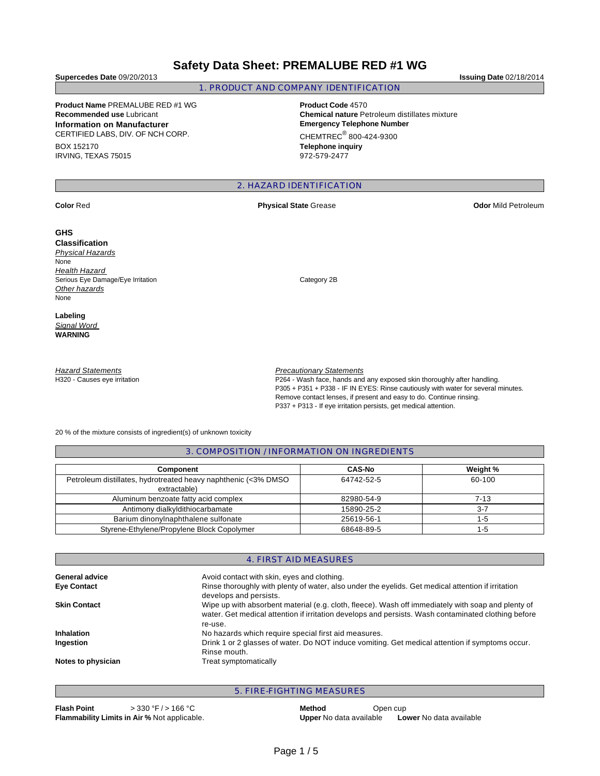# **Safety Data Sheet: PREMALUBE RED #1 WG**

**Supercedes Date** 09/20/2013 **Issuing Date** 02/18/2014

## 1. PRODUCT AND COMPANY IDENTIFICATION

**Product Name** PREMALUBE RED #1 WG **Product Code** 4570 **Information on Manufacturer Emergency Telephone Number** CERTIFIED LABS, DIV. OF NCH CORP.

BOX 152170 IRVING, TEXAS 75015

**Recommended use** Lubricant **Chemical nature** Petroleum distillates mixture  $CHEMTREC<sup>®</sup> 800-424-9300$ 

**Telephone inquiry** 972-579-2477

## 2. HAZARD IDENTIFICATION

### **GHS**

**Classification**  Physical Hazards None **Health Hazard** Serious Eye Damage/Eye Irritation **Category 2B Other hazards** None

**Labeling**  Signal Word **WARNING** 

**Hazard Statements** H320 - Causes eye irritation

### **Precautionary Statements**

P264 - Wash face, hands and any exposed skin thoroughly after handling. P305 + P351 + P338 - IF IN EYES: Rinse cautiously with water for several minutes. Remove contact lenses, if present and easy to do. Continue rinsing. P337 + P313 - If eye irritation persists, get medical attention.

20 % of the mixture consists of ingredient(s) of unknown toxicity

3. COMPOSITION / INFORMATION ON INGREDIENTS

| <b>Component</b>                                                               | <b>CAS-No</b> | Weight % |
|--------------------------------------------------------------------------------|---------------|----------|
| Petroleum distillates, hydrotreated heavy naphthenic (<3% DMSO<br>extractable) | 64742-52-5    | 60-100   |
| Aluminum benzoate fatty acid complex                                           | 82980-54-9    | 7-13     |
| Antimony dialkyldithiocarbamate                                                | 15890-25-2    | $3 - 7$  |
| Barium dinonylnaphthalene sulfonate                                            | 25619-56-1    | 1-5      |
| Styrene-Ethylene/Propylene Block Copolymer                                     | 68648-89-5    | 1-5      |

|                     | 4. FIRST AID MEASURES                                                                                                                                                                                                |  |  |  |  |
|---------------------|----------------------------------------------------------------------------------------------------------------------------------------------------------------------------------------------------------------------|--|--|--|--|
| General advice      | Avoid contact with skin, eyes and clothing.                                                                                                                                                                          |  |  |  |  |
| <b>Eye Contact</b>  | Rinse thoroughly with plenty of water, also under the eyelids. Get medical attention if irritation<br>develops and persists.                                                                                         |  |  |  |  |
| <b>Skin Contact</b> | Wipe up with absorbent material (e.g. cloth, fleece). Wash off immediately with soap and plenty of<br>water. Get medical attention if irritation develops and persists. Wash contaminated clothing before<br>re-use. |  |  |  |  |
| <b>Inhalation</b>   | No hazards which require special first aid measures.                                                                                                                                                                 |  |  |  |  |
| Ingestion           | Drink 1 or 2 glasses of water. Do NOT induce vomiting. Get medical attention if symptoms occur.<br>Rinse mouth.                                                                                                      |  |  |  |  |
| Notes to physician  | Treat symptomatically                                                                                                                                                                                                |  |  |  |  |

## 5. FIRE-FIGHTING MEASURES

**Flash Point**  $> 330 \text{ °F} / > 166 \text{ °C}$  **Method** Open cup

**Flammability Limits in Air %** Not applicable. **Upper** No data available **Lower** No data available

**Color** Red **Physical State** Grease **Odor** Mild Petroleum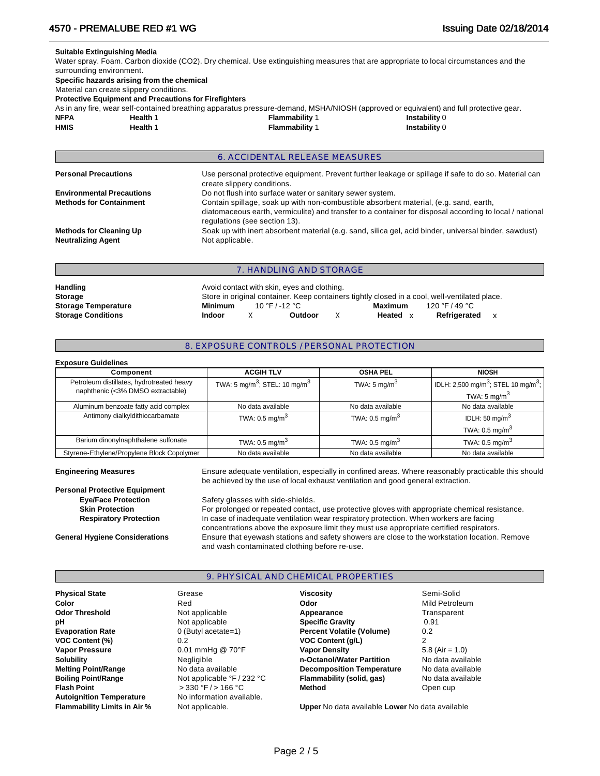### **Suitable Extinguishing Media**

Water spray. Foam. Carbon dioxide (CO2). Dry chemical. Use extinguishing measures that are appropriate to local circumstances and the surrounding environment. **Specific hazards arising from the chemical**

Material can create slippery conditions.

**Protective Equipment and Precautions for Firefighters**

As in any fire, wear self-contained breathing apparatus pressure-demand, MSHA/NIOSH (approved or equivalent) and full protective gear.

| <b>NFPA</b> | Health 1 | <b>Flammability 1</b> | Instability 0 |
|-------------|----------|-----------------------|---------------|
| <b>HMIS</b> | Health 1 | <b>Flammability 1</b> | Instability 0 |

|                                                             | <b>6. ACCIDENTAL RELEASE MEASURES</b>                                                                                                                                                                                             |
|-------------------------------------------------------------|-----------------------------------------------------------------------------------------------------------------------------------------------------------------------------------------------------------------------------------|
| <b>Personal Precautions</b>                                 | Use personal protective equipment. Prevent further leakage or spillage if safe to do so. Material can<br>create slippery conditions.                                                                                              |
| <b>Environmental Precautions</b>                            | Do not flush into surface water or sanitary sewer system.                                                                                                                                                                         |
| <b>Methods for Containment</b>                              | Contain spillage, soak up with non-combustible absorbent material, (e.g. sand, earth,<br>diatomaceous earth, vermiculite) and transfer to a container for disposal according to local / national<br>regulations (see section 13). |
| <b>Methods for Cleaning Up</b><br><b>Neutralizing Agent</b> | Soak up with inert absorbent material (e.g. sand, silica gel, acid binder, universal binder, sawdust)<br>Not applicable.                                                                                                          |
|                                                             | 7. HANDLING AND STORAGE                                                                                                                                                                                                           |
| <b>Linnalling</b>                                           | Avoid contact with ckin, over and elething                                                                                                                                                                                        |

| <b>Handling</b>            | Avoid contact with skin, eyes and clothing.                                                   |                |         |  |          |                |  |  |
|----------------------------|-----------------------------------------------------------------------------------------------|----------------|---------|--|----------|----------------|--|--|
| <b>Storage</b>             | Store in original container. Keep containers tightly closed in a cool, well-ventilated place. |                |         |  |          |                |  |  |
| <b>Storage Temperature</b> | Minimum                                                                                       | 10 °F / -12 °C |         |  | Maximum  | 120 °F / 49 °C |  |  |
| <b>Storage Conditions</b>  | <b>Indoor</b>                                                                                 |                | Outdoor |  | Heated x | Refrigerated   |  |  |

### 8. EXPOSURE CONTROLS / PERSONAL PROTECTION

| <b>Exposure Guidelines</b>                                                     |                                                       |                           |                                                             |
|--------------------------------------------------------------------------------|-------------------------------------------------------|---------------------------|-------------------------------------------------------------|
| Component                                                                      | <b>ACGIH TLV</b>                                      | <b>OSHA PEL</b>           | <b>NIOSH</b>                                                |
| Petroleum distillates, hydrotreated heavy<br>naphthenic (<3% DMSO extractable) | TWA: 5 mg/m <sup>3</sup> ; STEL: 10 mg/m <sup>3</sup> | TWA: $5 \text{ mg/m}^3$   | IDLH: 2,500 mg/m <sup>3</sup> ; STEL 10 mg/m <sup>3</sup> ; |
|                                                                                |                                                       |                           | TWA: 5 mg/m <sup>3</sup>                                    |
| Aluminum benzoate fatty acid complex                                           | No data available                                     | No data available         | No data available                                           |
| Antimony dialkyldithiocarbamate                                                | TWA: $0.5 \text{ mg/m}^3$                             | TWA: $0.5 \text{ mg/m}^3$ | IDLH: 50 mg/m $3$                                           |
|                                                                                |                                                       |                           | TWA: $0.5 \text{ ma/m}^3$                                   |
| Barium dinonylnaphthalene sulfonate                                            | TWA: $0.5 \text{ mg/m}^3$                             | TWA: $0.5 \text{ mg/m}^3$ | TWA: $0.5 \text{ mg/m}^3$                                   |
| Styrene-Ethylene/Propylene Block Copolymer                                     | No data available                                     | No data available         | No data available                                           |

**Engineering Measures** Ensure adequate ventilation, especially in confined areas. Where reasonably practicable this should be achieved by the use of local exhaust ventilation and good general extraction.

**Personal Protective Equipment Eye/Face Protection** Safety glasses with side-shields.

**Skin Protection For prolonged or repeated contact**, use protective gloves with appropriate chemical resistance. **Respiratory Protection <b>In** case of inadequate ventilation wear respiratory protection. When workers are facing concentrations above the exposure limit they must use appropriate certified respirators. **General Hygiene Considerations** Ensure that eyewash stations and safety showers are close to the workstation location. Remove and wash contaminated clothing before re-use.

### 9. PHYSICAL AND CHEMICAL PROPERTIES

| <b>Physical State</b>               | Grease                                       | <b>Viscosity</b>                                | Semi-Solid        |
|-------------------------------------|----------------------------------------------|-------------------------------------------------|-------------------|
| Color                               | Red                                          | Odor                                            | Mild Petroleum    |
| <b>Odor Threshold</b>               | Not applicable                               | Appearance                                      | Transparent       |
| рH                                  | Not applicable                               | <b>Specific Gravity</b>                         | 0.91              |
| <b>Evaporation Rate</b>             | $0$ (Butyl acetate=1)                        | <b>Percent Volatile (Volume)</b>                | 0.2               |
| <b>VOC Content (%)</b>              | 0.2                                          | <b>VOC Content (g/L)</b>                        | $\overline{2}$    |
| <b>Vapor Pressure</b>               | 0.01 mmHg @ 70°F                             | <b>Vapor Density</b>                            | $5.8$ (Air = 1.0) |
| <b>Solubility</b>                   | Negligible                                   | n-Octanol/Water Partition                       | No data available |
| <b>Melting Point/Range</b>          | No data available                            | <b>Decomposition Temperature</b>                | No data available |
| <b>Boiling Point/Range</b>          | Not applicable $\degree$ F / 232 $\degree$ C | Flammability (solid, gas)                       | No data available |
| <b>Flash Point</b>                  | $>$ 330 °F / $>$ 166 °C                      | Method                                          | Open cup          |
| <b>Autoignition Temperature</b>     | No information available.                    |                                                 |                   |
| <b>Flammability Limits in Air %</b> | Not applicable.                              | Upper No data available Lower No data available |                   |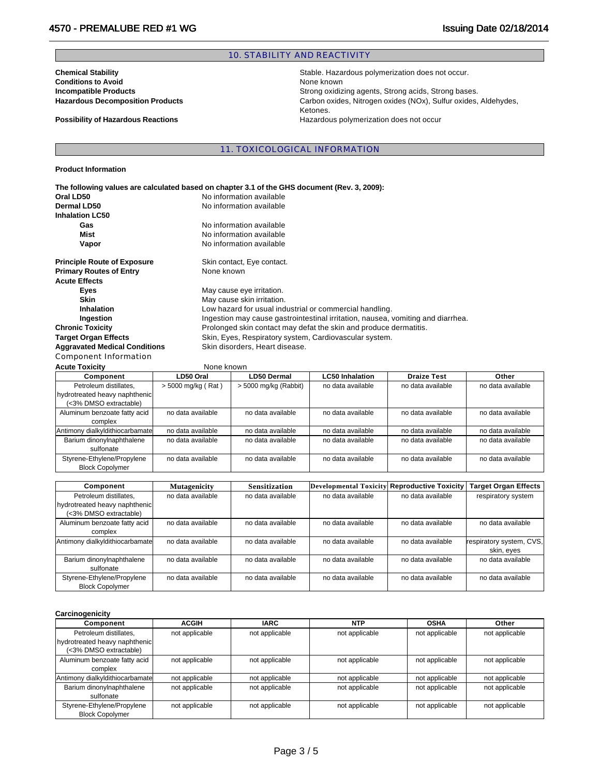## 10. STABILITY AND REACTIVITY

**Conditions to Avoid and Server Conditions to Avoid Avoid Executive Conditions of Avoid Avoid Executive Conditions Conditions of Avoid Avoid Executive Conditions of Avoid Avoid Executive Conditions of Avoid Avoid Avoid Avo** 

**Chemical Stability Chemical Stability Stable. Hazardous polymerization does not occur. Incompatible Products**<br> **Incompatible Products**<br> **Interpreducts**<br> **Interpreducts**<br> **Interpreducts**<br> **Interpreducts**<br> **Interpreducts**<br> **Interpreducts**<br> **Interpreducts**<br> **Interpreducts**<br> **Interpreducts**<br> **Interpreducts**<br> **I** Carbon oxides, Nitrogen oxides (NOx), Sulfur oxides, Aldehydes, Ketones. **Possibility of Hazardous Reactions Hazardous polymerization does not occur** 

11. TOXICOLOGICAL INFORMATION

**Product Information** 

| The following values are calculated based on chapter 3.1 of the GHS document (Rev. 3, 2009): |                                                                                 |  |  |  |  |  |  |
|----------------------------------------------------------------------------------------------|---------------------------------------------------------------------------------|--|--|--|--|--|--|
| Oral LD50                                                                                    | No information available                                                        |  |  |  |  |  |  |
| Dermal LD50                                                                                  | No information available                                                        |  |  |  |  |  |  |
| <b>Inhalation LC50</b>                                                                       |                                                                                 |  |  |  |  |  |  |
| Gas                                                                                          | No information available                                                        |  |  |  |  |  |  |
| Mist                                                                                         | No information available                                                        |  |  |  |  |  |  |
| Vapor                                                                                        | No information available                                                        |  |  |  |  |  |  |
| <b>Principle Route of Exposure</b>                                                           | Skin contact, Eye contact.                                                      |  |  |  |  |  |  |
| <b>Primary Routes of Entry</b>                                                               | None known                                                                      |  |  |  |  |  |  |
| <b>Acute Effects</b>                                                                         |                                                                                 |  |  |  |  |  |  |
| Eyes                                                                                         | May cause eye irritation.                                                       |  |  |  |  |  |  |
| <b>Skin</b>                                                                                  | May cause skin irritation.                                                      |  |  |  |  |  |  |
| Inhalation                                                                                   | Low hazard for usual industrial or commercial handling.                         |  |  |  |  |  |  |
| Ingestion                                                                                    | Ingestion may cause gastrointestinal irritation, nausea, vomiting and diarrhea. |  |  |  |  |  |  |
| <b>Chronic Toxicity</b>                                                                      | Prolonged skin contact may defat the skin and produce dermatitis.               |  |  |  |  |  |  |
| <b>Target Organ Effects</b>                                                                  | Skin, Eyes, Respiratory system, Cardiovascular system.                          |  |  |  |  |  |  |
| <b>Aggravated Medical Conditions</b>                                                         | Skin disorders, Heart disease.                                                  |  |  |  |  |  |  |
| Component Information                                                                        |                                                                                 |  |  |  |  |  |  |

**Acute Toxicity None known** 

| AVULG TVAIVILV                  | <b>INVITE MITOWII</b> |                       |                        |                    |                   |
|---------------------------------|-----------------------|-----------------------|------------------------|--------------------|-------------------|
| Component                       | LD50 Oral             | LD50 Dermal           | <b>LC50 Inhalation</b> | <b>Draize Test</b> | Other             |
| Petroleum distillates.          | > 5000 mg/kg (Rat)    | > 5000 mg/kg (Rabbit) | no data available      | no data available  | no data available |
| hydrotreated heavy naphthenic   |                       |                       |                        |                    |                   |
| (<3% DMSO extractable)          |                       |                       |                        |                    |                   |
| Aluminum benzoate fatty acid    | no data available     | no data available     | no data available      | no data available  | no data available |
| complex                         |                       |                       |                        |                    |                   |
| Antimony dialkyldithiocarbamate | no data available     | no data available     | no data available      | no data available  | no data available |
| Barium dinonylnaphthalene       | no data available     | no data available     | no data available      | no data available  | no data available |
| sulfonate                       |                       |                       |                        |                    |                   |
| Styrene-Ethylene/Propylene      | no data available     | no data available     | no data available      | no data available  | no data available |
| <b>Block Copolymer</b>          |                       |                       |                        |                    |                   |

| Component                       | <b>Mutagenicity</b> | <b>Sensitization</b> | Developmental Toxicity Reproductive Toxicity |                   | <b>Target Organ Effects</b> |
|---------------------------------|---------------------|----------------------|----------------------------------------------|-------------------|-----------------------------|
| Petroleum distillates.          | no data available   | no data available    | no data available                            | no data available | respiratory system          |
| hydrotreated heavy naphthenic   |                     |                      |                                              |                   |                             |
| (<3% DMSO extractable)          |                     |                      |                                              |                   |                             |
| Aluminum benzoate fatty acid    | no data available   | no data available    | no data available                            | no data available | no data available           |
| complex                         |                     |                      |                                              |                   |                             |
| Antimony dialkyldithiocarbamate | no data available   | no data available    | no data available                            | no data available | respiratory system, CVS,    |
|                                 |                     |                      |                                              |                   | skin, eyes                  |
| Barium dinonylnaphthalene       | no data available   | no data available    | no data available                            | no data available | no data available           |
| sulfonate                       |                     |                      |                                              |                   |                             |
| Styrene-Ethylene/Propylene      | no data available   | no data available    | no data available                            | no data available | no data available           |
| <b>Block Copolymer</b>          |                     |                      |                                              |                   |                             |

### **Carcinogenicity**

| Component                       | <b>ACGIH</b>   | <b>IARC</b>    | <b>NTP</b>     | <b>OSHA</b>    | Other          |
|---------------------------------|----------------|----------------|----------------|----------------|----------------|
| Petroleum distillates.          | not applicable | not applicable | not applicable | not applicable | not applicable |
| hydrotreated heavy naphthenic   |                |                |                |                |                |
| (<3% DMSO extractable)          |                |                |                |                |                |
| Aluminum benzoate fatty acid    | not applicable | not applicable | not applicable | not applicable | not applicable |
| complex                         |                |                |                |                |                |
| Antimony dialkyldithiocarbamate | not applicable | not applicable | not applicable | not applicable | not applicable |
| Barium dinonylnaphthalene       | not applicable | not applicable | not applicable | not applicable | not applicable |
| sulfonate                       |                |                |                |                |                |
| Styrene-Ethylene/Propylene      | not applicable | not applicable | not applicable | not applicable | not applicable |
| <b>Block Copolymer</b>          |                |                |                |                |                |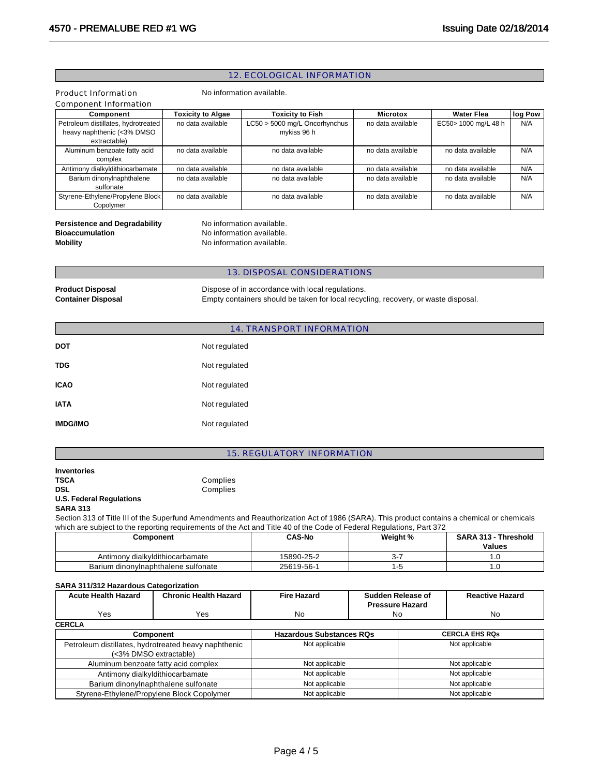## 12. ECOLOGICAL INFORMATION

|                                                                                   |                                                                          | <u>IZ. LUULUUIUAL IIN UNIVIATIUIN</u>                                                                                                                                                                                                                              |                                                                              |  |                                       |         |
|-----------------------------------------------------------------------------------|--------------------------------------------------------------------------|--------------------------------------------------------------------------------------------------------------------------------------------------------------------------------------------------------------------------------------------------------------------|------------------------------------------------------------------------------|--|---------------------------------------|---------|
| Product Information<br>Component Information                                      |                                                                          | No information available.                                                                                                                                                                                                                                          |                                                                              |  |                                       |         |
| Component                                                                         | <b>Toxicity to Algae</b>                                                 | <b>Toxicity to Fish</b>                                                                                                                                                                                                                                            | Microtox                                                                     |  | <b>Water Flea</b>                     | log Pow |
| Petroleum distillates, hydrotreated<br>heavy naphthenic (<3% DMSO<br>extractable) | no data available                                                        | LC50 > 5000 mg/L Oncorhynchus<br>mykiss 96 h                                                                                                                                                                                                                       | no data available                                                            |  | EC50> 1000 mg/L 48 h                  | N/A     |
| Aluminum benzoate fatty acid<br>complex                                           | no data available                                                        | no data available                                                                                                                                                                                                                                                  | no data available                                                            |  | no data available                     | N/A     |
| Antimony dialkyldithiocarbamate                                                   | no data available                                                        | no data available                                                                                                                                                                                                                                                  | no data available                                                            |  | no data available                     | N/A     |
| Barium dinonylnaphthalene<br>sulfonate                                            | no data available                                                        | no data available                                                                                                                                                                                                                                                  | no data available                                                            |  | no data available                     | N/A     |
| Styrene-Ethylene/Propylene Block<br>Copolymer                                     | no data available                                                        | no data available                                                                                                                                                                                                                                                  | no data available                                                            |  | no data available                     | N/A     |
| <b>Persistence and Degradability</b><br><b>Bioaccumulation</b><br><b>Mobility</b> |                                                                          | No information available.<br>No information available.<br>No information available.                                                                                                                                                                                |                                                                              |  |                                       |         |
|                                                                                   |                                                                          | 13. DISPOSAL CONSIDERATIONS                                                                                                                                                                                                                                        |                                                                              |  |                                       |         |
| <b>Product Disposal</b><br><b>Container Disposal</b>                              |                                                                          | Dispose of in accordance with local regulations.<br>Empty containers should be taken for local recycling, recovery, or waste disposal.                                                                                                                             |                                                                              |  |                                       |         |
|                                                                                   |                                                                          | 14. TRANSPORT INFORMATION                                                                                                                                                                                                                                          |                                                                              |  |                                       |         |
| <b>DOT</b>                                                                        | Not regulated                                                            |                                                                                                                                                                                                                                                                    |                                                                              |  |                                       |         |
| TDG                                                                               | Not regulated                                                            |                                                                                                                                                                                                                                                                    |                                                                              |  |                                       |         |
| <b>ICAO</b>                                                                       | Not regulated                                                            |                                                                                                                                                                                                                                                                    |                                                                              |  |                                       |         |
| <b>IATA</b>                                                                       | Not regulated                                                            |                                                                                                                                                                                                                                                                    |                                                                              |  |                                       |         |
| <b>IMDG/IMO</b>                                                                   | Not regulated                                                            |                                                                                                                                                                                                                                                                    |                                                                              |  |                                       |         |
|                                                                                   |                                                                          | 15. REGULATORY INFORMATION                                                                                                                                                                                                                                         |                                                                              |  |                                       |         |
| <b>Inventories</b><br><b>TSCA</b>                                                 | Complies                                                                 |                                                                                                                                                                                                                                                                    |                                                                              |  |                                       |         |
| <b>DSL</b><br><b>U.S. Federal Regulations</b>                                     | Complies                                                                 |                                                                                                                                                                                                                                                                    |                                                                              |  |                                       |         |
| <b>SARA 313</b>                                                                   |                                                                          | Section 313 of Title III of the Superfund Amendments and Reauthorization Act of 1986 (SARA). This product contains a chemical or chemicals<br>which are subject to the reporting requirements of the Act and Title 40 of the Code of Federal Regulations, Part 372 |                                                                              |  |                                       |         |
| Component                                                                         |                                                                          | <b>CAS-No</b>                                                                                                                                                                                                                                                      | Weight %                                                                     |  | SARA 313 - Threshold<br><b>Values</b> |         |
| Antimony dialkyldithiocarbamate                                                   |                                                                          | 15890-25-2                                                                                                                                                                                                                                                         | $3 - 7$                                                                      |  | 1.0                                   |         |
| Barium dinonylnaphthalene sulfonate                                               |                                                                          | 25619-56-1                                                                                                                                                                                                                                                         | $1 - 5$                                                                      |  | 1.0                                   |         |
| SARA 311/312 Hazardous Categorization                                             |                                                                          |                                                                                                                                                                                                                                                                    |                                                                              |  |                                       |         |
| <b>Acute Health Hazard</b>                                                        | <b>Chronic Health Hazard</b>                                             | <b>Fire Hazard</b>                                                                                                                                                                                                                                                 | <b>Sudden Release of</b><br><b>Reactive Hazard</b><br><b>Pressure Hazard</b> |  |                                       |         |
| Yes                                                                               | Yes                                                                      | No                                                                                                                                                                                                                                                                 | No                                                                           |  | No                                    |         |
| <b>CERCLA</b>                                                                     |                                                                          |                                                                                                                                                                                                                                                                    |                                                                              |  |                                       |         |
| Component                                                                         |                                                                          | <b>Hazardous Substances RQs</b>                                                                                                                                                                                                                                    |                                                                              |  | <b>CERCLA EHS RQs</b>                 |         |
| Petroleum distillates, hydrotreated heavy naphthenic<br>(<3% DMSO extractable)    |                                                                          | Not applicable                                                                                                                                                                                                                                                     |                                                                              |  | Not applicable                        |         |
|                                                                                   | Not applicable<br>Not applicable<br>Aluminum benzoate fatty acid complex |                                                                                                                                                                                                                                                                    |                                                                              |  |                                       |         |

Page 4 / 5

Antimony dialkyldithiocarbamate **Not applicable** Not applicable Not applicable Not applicable Barium dinonylnaphthalene sulfonate Not applicable Not applicable Not applicable Styrene-Ethylene/Propylene Block Copolymer Not applicable Not applicable Not applicable